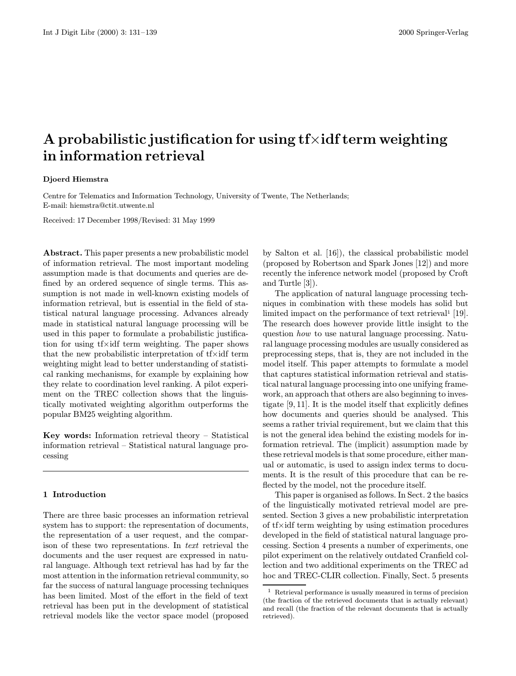# A probabilistic justification for using  $f \times \text{id} f$  term weighting in information retrieval

# Djoerd Hiemstra

Centre for Telematics and Information Technology, University of Twente, The Netherlands; E-mail: hiemstra@ctit.utwente.nl

Received: 17 December 1998/Revised: 31 May 1999

Abstract. This paper presents a new probabilistic model of information retrieval. The most important modeling assumption made is that documents and queries are defined by an ordered sequence of single terms. This assumption is not made in well-known existing models of information retrieval, but is essential in the field of statistical natural language processing. Advances already made in statistical natural language processing will be used in this paper to formulate a probabilistic justification for using tf×idf term weighting. The paper shows that the new probabilistic interpretation of tf×idf term weighting might lead to better understanding of statistical ranking mechanisms, for example by explaining how they relate to coordination level ranking. A pilot experiment on the TREC collection shows that the linguistically motivated weighting algorithm outperforms the popular BM25 weighting algorithm.

Key words: Information retrieval theory – Statistical information retrieval – Statistical natural language processing

#### 1 Introduction

There are three basic processes an information retrieval system has to support: the representation of documents, the representation of a user request, and the comparison of these two representations. In text retrieval the documents and the user request are expressed in natural language. Although text retrieval has had by far the most attention in the information retrieval community, so far the success of natural language processing techniques has been limited. Most of the effort in the field of text retrieval has been put in the development of statistical retrieval models like the vector space model (proposed by Salton et al. [16]), the classical probabilistic model (proposed by Robertson and Spark Jones [12]) and more recently the inference network model (proposed by Croft and Turtle [3]).

The application of natural language processing techniques in combination with these models has solid but limited impact on the performance of text retrieval<sup>1</sup> [19]. The research does however provide little insight to the question how to use natural language processing. Natural language processing modules are usually considered as preprocessing steps, that is, they are not included in the model itself. This paper attempts to formulate a model that captures statistical information retrieval and statistical natural language processing into one unifying framework, an approach that others are also beginning to investigate [9, 11]. It is the model itself that explicitly defines how documents and queries should be analysed. This seems a rather trivial requirement, but we claim that this is not the general idea behind the existing models for information retrieval. The (implicit) assumption made by these retrieval models is that some procedure, either manual or automatic, is used to assign index terms to documents. It is the result of this procedure that can be reflected by the model, not the procedure itself.

This paper is organised as follows. In Sect. 2 the basics of the linguistically motivated retrieval model are presented. Section 3 gives a new probabilistic interpretation of tf×idf term weighting by using estimation procedures developed in the field of statistical natural language processing. Section 4 presents a number of experiments, one pilot experiment on the relatively outdated Cranfield collection and two additional experiments on the TREC ad hoc and TREC-CLIR collection. Finally, Sect. 5 presents

<sup>1</sup> Retrieval performance is usually measured in terms of precision (the fraction of the retrieved documents that is actually relevant) and recall (the fraction of the relevant documents that is actually retrieved).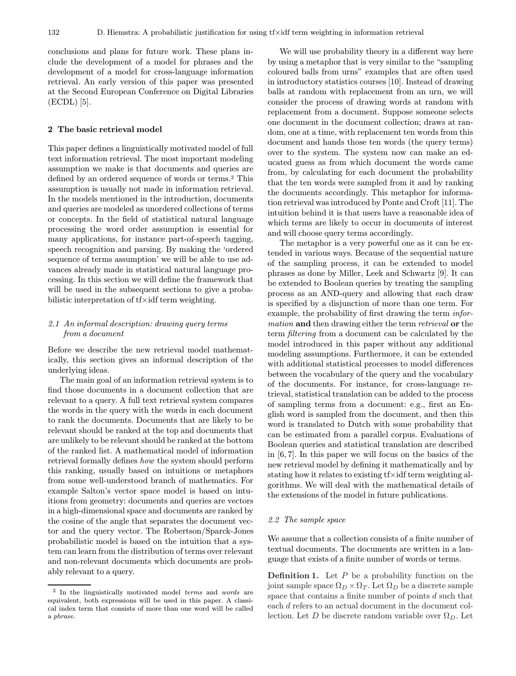conclusions and plans for future work. These plans include the development of a model for phrases and the development of a model for cross-language information retrieval. An early version of this paper was presented at the Second European Conference on Digital Libraries (ECDL) [5].

#### 2 The basic retrieval model

This paper defines a linguistically motivated model of full text information retrieval. The most important modeling assumption we make is that documents and queries are defined by an ordered sequence of words or terms.<sup>2</sup> This assumption is usually not made in information retrieval. In the models mentioned in the introduction, documents and queries are modeled as unordered collections of terms or concepts. In the field of statistical natural language processing the word order assumption is essential for many applications, for instance part-of-speech tagging, speech recognition and parsing. By making the 'ordered sequence of terms assumption' we will be able to use advances already made in statistical natural language processing. In this section we will define the framework that will be used in the subsequent sections to give a probabilistic interpretation of tf×idf term weighting.

# 2.1 An informal description: drawing query terms from a document

Before we describe the new retrieval model mathematically, this section gives an informal description of the underlying ideas.

The main goal of an information retrieval system is to find those documents in a document collection that are relevant to a query. A full text retrieval system compares the words in the query with the words in each document to rank the documents. Documents that are likely to be relevant should be ranked at the top and documents that are unlikely to be relevant should be ranked at the bottom of the ranked list. A mathematical model of information retrieval formally defines how the system should perform this ranking, usually based on intuitions or metaphors from some well-understood branch of mathematics. For example Salton's vector space model is based on intuitions from geometry: documents and queries are vectors in a high-dimensional space and documents are ranked by the cosine of the angle that separates the document vector and the query vector. The Robertson/Sparck-Jones probabilistic model is based on the intuition that a system can learn from the distribution of terms over relevant and non-relevant documents which documents are probably relevant to a query.

We will use probability theory in a different way here by using a metaphor that is very similar to the "sampling coloured balls from urns" examples that are often used in introductory statistics courses [10]. Instead of drawing balls at random with replacement from an urn, we will consider the process of drawing words at random with replacement from a document. Suppose someone selects one document in the document collection; draws at random, one at a time, with replacement ten words from this document and hands those ten words (the query terms) over to the system. The system now can make an educated guess as from which document the words came from, by calculating for each document the probability that the ten words were sampled from it and by ranking the documents accordingly. This metaphor for information retrieval was introduced by Ponte and Croft [11]. The intuition behind it is that users have a reasonable idea of which terms are likely to occur in documents of interest and will choose query terms accordingly.

The metaphor is a very powerful one as it can be extended in various ways. Because of the sequential nature of the sampling process, it can be extended to model phrases as done by Miller, Leek and Schwartz [9]. It can be extended to Boolean queries by treating the sampling process as an AND-query and allowing that each draw is specified by a disjunction of more than one term. For example, the probability of first drawing the term *infor*mation and then drawing either the term retrieval or the term filtering from a document can be calculated by the model introduced in this paper without any additional modeling assumptions. Furthermore, it can be extended with additional statistical processes to model differences between the vocabulary of the query and the vocabulary of the documents. For instance, for cross-language retrieval, statistical translation can be added to the process of sampling terms from a document: e.g., first an English word is sampled from the document, and then this word is translated to Dutch with some probability that can be estimated from a parallel corpus. Evaluations of Boolean queries and statistical translation are described in [6, 7]. In this paper we will focus on the basics of the new retrieval model by defining it mathematically and by stating how it relates to existing tf×idf term weighting algorithms. We will deal with the mathematical details of the extensions of the model in future publications.

#### 2.2 The sample space

We assume that a collection consists of a finite number of textual documents. The documents are written in a language that exists of a finite number of words or terms.

**Definition 1.** Let  $P$  be a probability function on the joint sample space  $\Omega_D \times \Omega_T$ . Let  $\Omega_D$  be a discrete sample space that contains a finite number of points d such that each d refers to an actual document in the document collection. Let D be discrete random variable over  $\Omega_D$ . Let

<sup>2</sup> In the linguistically motivated model terms and words are equivalent, both expressions will be used in this paper. A classical index term that consists of more than one word will be called a phrase.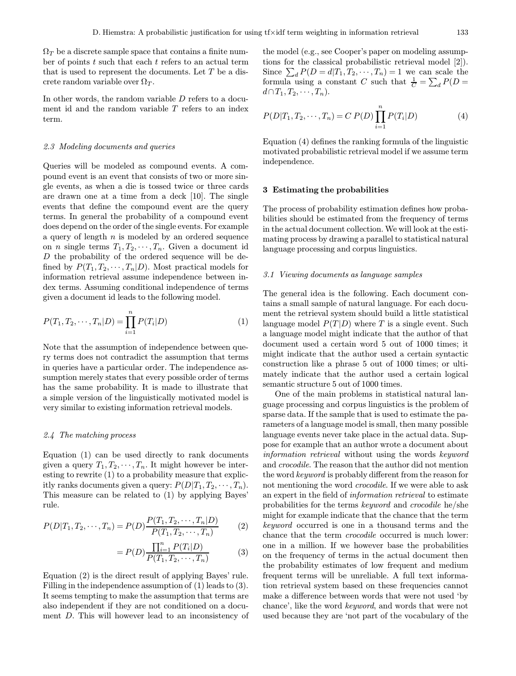$\Omega_T$  be a discrete sample space that contains a finite number of points  $t$  such that each  $t$  refers to an actual term that is used to represent the documents. Let  $T$  be a discrete random variable over  $\Omega_T$ .

In other words, the random variable D refers to a document id and the random variable T refers to an index term.

#### 2.3 Modeling documents and queries

Queries will be modeled as compound events. A compound event is an event that consists of two or more single events, as when a die is tossed twice or three cards are drawn one at a time from a deck [10]. The single events that define the compound event are the query terms. In general the probability of a compound event does depend on the order of the single events. For example a query of length  $n$  is modeled by an ordered sequence on *n* single terms  $T_1, T_2, \cdots, T_n$ . Given a document id D the probability of the ordered sequence will be defined by  $P(T_1, T_2, \cdots, T_n|D)$ . Most practical models for information retrieval assume independence between index terms. Assuming conditional independence of terms given a document id leads to the following model.

$$
P(T_1, T_2, \cdots, T_n | D) = \prod_{i=1}^n P(T_i | D)
$$
 (1)

Note that the assumption of independence between query terms does not contradict the assumption that terms in queries have a particular order. The independence assumption merely states that every possible order of terms has the same probability. It is made to illustrate that a simple version of the linguistically motivated model is very similar to existing information retrieval models.

## 2.4 The matching process

Equation (1) can be used directly to rank documents given a query  $T_1, T_2, \cdots, T_n$ . It might however be interesting to rewrite (1) to a probability measure that explicitly ranks documents given a query:  $P(D|T_1, T_2, \dots, T_n)$ . This measure can be related to (1) by applying Bayes' rule.

$$
P(D|T_1, T_2, \cdots, T_n) = P(D) \frac{P(T_1, T_2, \cdots, T_n | D)}{P(T_1, T_2, \cdots, T_n)}
$$
(2)

$$
= P(D) \frac{\prod_{i=1}^{n} P(T_i|D)}{P(T_1, T_2, \cdots, T_n)}
$$
(3)

Equation (2) is the direct result of applying Bayes' rule. Filling in the independence assumption of (1) leads to (3). It seems tempting to make the assumption that terms are also independent if they are not conditioned on a document D. This will however lead to an inconsistency of the model (e.g., see Cooper's paper on modeling assumptions for the classical probabilistic retrieval model [2]). Since  $\sum_{d} P(D = d | T_1, T_2, \cdots, T_n) = 1$  we can scale the formula using a constant C such that  $\frac{1}{C} = \sum_{d} P(D =$  $d \cap T_1, T_2, \cdots, T_n$ ).

$$
P(D|T_1, T_2, \cdots, T_n) = C P(D) \prod_{i=1}^n P(T_i|D)
$$
 (4)

Equation (4) defines the ranking formula of the linguistic motivated probabilistic retrieval model if we assume term independence.

#### 3 Estimating the probabilities

The process of probability estimation defines how probabilities should be estimated from the frequency of terms in the actual document collection. We will look at the estimating process by drawing a parallel to statistical natural language processing and corpus linguistics.

#### 3.1 Viewing documents as language samples

The general idea is the following. Each document contains a small sample of natural language. For each document the retrieval system should build a little statistical language model  $P(T|D)$  where T is a single event. Such a language model might indicate that the author of that document used a certain word 5 out of 1000 times; it might indicate that the author used a certain syntactic construction like a phrase 5 out of 1000 times; or ultimately indicate that the author used a certain logical semantic structure 5 out of 1000 times.

One of the main problems in statistical natural language processing and corpus linguistics is the problem of sparse data. If the sample that is used to estimate the parameters of a language model is small, then many possible language events never take place in the actual data. Suppose for example that an author wrote a document about information retrieval without using the words keyword and crocodile. The reason that the author did not mention the word keyword is probably different from the reason for not mentioning the word *crocodile*. If we were able to ask an expert in the field of information retrieval to estimate probabilities for the terms keyword and crocodile he/she might for example indicate that the chance that the term keyword occurred is one in a thousand terms and the chance that the term crocodile occurred is much lower: one in a million. If we however base the probabilities on the frequency of terms in the actual document then the probability estimates of low frequent and medium frequent terms will be unreliable. A full text information retrieval system based on these frequencies cannot make a difference between words that were not used 'by chance', like the word keyword, and words that were not used because they are 'not part of the vocabulary of the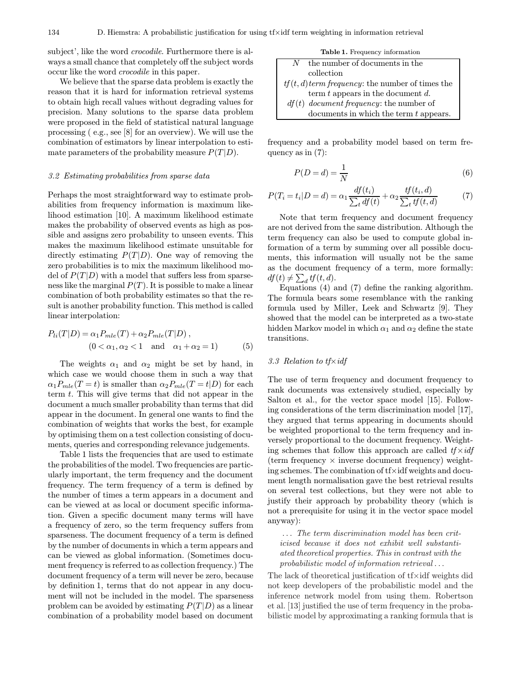subject', like the word crocodile. Furthermore there is always a small chance that completely off the subject words occur like the word crocodile in this paper.

We believe that the sparse data problem is exactly the reason that it is hard for information retrieval systems to obtain high recall values without degrading values for precision. Many solutions to the sparse data problem were proposed in the field of statistical natural language processing ( e.g., see [8] for an overview). We will use the combination of estimators by linear interpolation to estimate parameters of the probability measure  $P(T|D)$ .

#### 3.2 Estimating probabilities from sparse data

Perhaps the most straightforward way to estimate probabilities from frequency information is maximum likelihood estimation [10]. A maximum likelihood estimate makes the probability of observed events as high as possible and assigns zero probability to unseen events. This makes the maximum likelihood estimate unsuitable for directly estimating  $P(T|D)$ . One way of removing the zero probabilities is to mix the maximum likelihood model of  $P(T|D)$  with a model that suffers less from sparseness like the marginal  $P(T)$ . It is possible to make a linear combination of both probability estimates so that the result is another probability function. This method is called linear interpolation:

$$
P_{li}(T|D) = \alpha_1 P_{mle}(T) + \alpha_2 P_{mle}(T|D),
$$
  
(0 < \alpha\_1, \alpha\_2 < 1 and \alpha\_1 + \alpha\_2 = 1) (5)

The weights  $\alpha_1$  and  $\alpha_2$  might be set by hand, in which case we would choose them in such a way that  $\alpha_1 P_{mle}(T = t)$  is smaller than  $\alpha_2 P_{mle}(T = t|D)$  for each term  $t$ . This will give terms that did not appear in the document a much smaller probability than terms that did appear in the document. In general one wants to find the combination of weights that works the best, for example by optimising them on a test collection consisting of documents, queries and corresponding relevance judgements.

Table 1 lists the frequencies that are used to estimate the probabilities of the model. Two frequencies are particularly important, the term frequency and the document frequency. The term frequency of a term is defined by the number of times a term appears in a document and can be viewed at as local or document specific information. Given a specific document many terms will have a frequency of zero, so the term frequency suffers from sparseness. The document frequency of a term is defined by the number of documents in which a term appears and can be viewed as global information. (Sometimes document frequency is referred to as collection frequency.) The document frequency of a term will never be zero, because by definition 1, terms that do not appear in any document will not be included in the model. The sparseness problem can be avoided by estimating  $P(T|D)$  as a linear combination of a probability model based on document

|   | <b>Table 1.</b> Frequency information              |
|---|----------------------------------------------------|
| N | the number of documents in the                     |
|   | collection                                         |
|   | $tf(t, d)$ term frequency: the number of times the |
|   | term $t$ appears in the document $d$ .             |
|   | $df(t)$ document frequency: the number of          |
|   | documents in which the term $t$ appears.           |

frequency and a probability model based on term frequency as in  $(7)$ :

$$
P(D=d) = \frac{1}{N}
$$
\n<sup>(6)</sup>

$$
P(T_i = t_i | D = d) = \alpha_1 \frac{df(t_i)}{\sum_t df(t)} + \alpha_2 \frac{tf(t_i, d)}{\sum_t tf(t, d)}
$$
(7)

Note that term frequency and document frequency are not derived from the same distribution. Although the term frequency can also be used to compute global information of a term by summing over all possible documents, this information will usually not be the same as the document frequency of a term, more formally:  $df(t) \neq \sum_d tf(t, d).$ 

Equations (4) and (7) define the ranking algorithm. The formula bears some resemblance with the ranking formula used by Miller, Leek and Schwartz [9]. They showed that the model can be interpreted as a two-state hidden Markov model in which  $\alpha_1$  and  $\alpha_2$  define the state transitions.

#### 3.3 Relation to  $tf \times idf$

The use of term frequency and document frequency to rank documents was extensively studied, especially by Salton et al., for the vector space model [15]. Following considerations of the term discrimination model [17], they argued that terms appearing in documents should be weighted proportional to the term frequency and inversely proportional to the document frequency. Weighting schemes that follow this approach are called  $tf \times idf$ (term frequency  $\times$  inverse document frequency) weighting schemes. The combination of tf×idf weights and document length normalisation gave the best retrieval results on several test collections, but they were not able to justify their approach by probability theory (which is not a prerequisite for using it in the vector space model anyway):

... The term discrimination model has been criticised because it does not exhibit well substantiated theoretical properties. This in contrast with the probabilistic model of information retrieval ...

The lack of theoretical justification of tf×idf weights did not keep developers of the probabilistic model and the inference network model from using them. Robertson et al. [13] justified the use of term frequency in the probabilistic model by approximating a ranking formula that is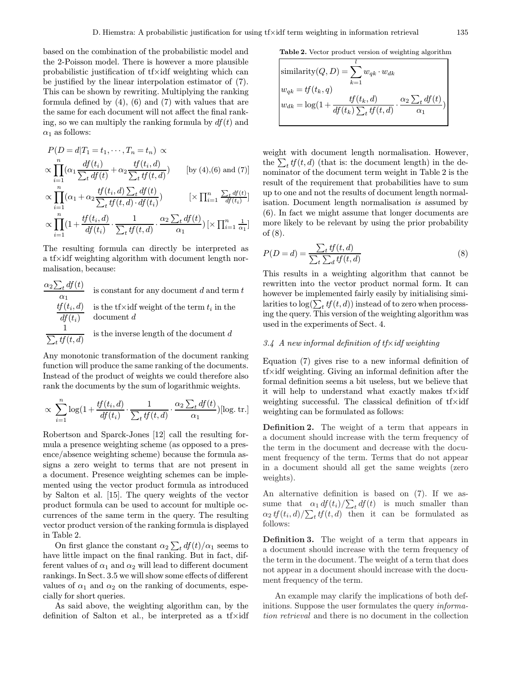based on the combination of the probabilistic model and the 2-Poisson model. There is however a more plausible probabilistic justification of tf×idf weighting which can be justified by the linear interpolation estimator of (7). This can be shown by rewriting. Multiplying the ranking formula defined by  $(4)$ ,  $(6)$  and  $(7)$  with values that are the same for each document will not affect the final ranking, so we can multiply the ranking formula by  $df(t)$  and  $\alpha_1$  as follows:

$$
P(D = d|T_1 = t_1, \dots, T_n = t_n) \propto
$$
  
 
$$
\propto \prod_{i=1}^n (\alpha_1 \frac{df(t_i)}{\sum_t df(t)} + \alpha_2 \frac{tf(t_i, d)}{\sum_t tf(t, d)}) \qquad [\text{by (4),(6) and (7)}]
$$

$$
\propto \prod_{i=1}^{n} (\alpha_1 + \alpha_2 \frac{tf(t_i, d) \sum_t df(t)}{\sum_t tf(t, d) \cdot df(t_i)}) \qquad [\times \prod_{i=1}^{n} \frac{\sum_t df(t)}{df(t_i)}]
$$

$$
\propto \prod_{i=1}^{n} (1 + \frac{tf(t_i, d)}{df(t_i)} \cdot \frac{1}{\sum_t tf(t, d)} \cdot \frac{\alpha_2 \sum_t df(t)}{\alpha_1}) [\times \prod_{i=1}^{n} \frac{1}{\alpha_1}]
$$

The resulting formula can directly be interpreted as a tf×idf weighting algorithm with document length normalisation, because:

$$
\frac{\alpha_2 \sum_t df(t)}{\alpha_1}
$$
 is constant for any document *d* and term *t*  

$$
\frac{tf(t_i, d)}{df(t_i)}
$$
 is the tf(x) weight of the term  $t_i$  in the document *d*  

$$
\frac{1}{\sum_t tf(t, d)}
$$
 is the inverse length of the document *d*

Any monotonic transformation of the document ranking function will produce the same ranking of the documents. Instead of the product of weights we could therefore also rank the documents by the sum of logarithmic weights.

$$
\propto \sum_{i=1}^{n} \log(1 + \frac{tf(t_i, d)}{df(t_i)} \cdot \frac{1}{\sum_t tf(t, d)} \cdot \frac{\alpha_2 \sum_t df(t)}{\alpha_1}) [\log \text{tr} \cdot]
$$

Robertson and Sparck-Jones [12] call the resulting formula a presence weighting scheme (as opposed to a presence/absence weighting scheme) because the formula assigns a zero weight to terms that are not present in a document. Presence weighting schemes can be implemented using the vector product formula as introduced by Salton et al. [15]. The query weights of the vector product formula can be used to account for multiple occurrences of the same term in the query. The resulting vector product version of the ranking formula is displayed in Table 2.

On first glance the constant  $\alpha_2 \sum_t df(t)/\alpha_1$  seems to have little impact on the final ranking. But in fact, different values of  $\alpha_1$  and  $\alpha_2$  will lead to different document rankings. In Sect. 3.5 we will show some effects of different values of  $\alpha_1$  and  $\alpha_2$  on the ranking of documents, especially for short queries.

As said above, the weighting algorithm can, by the definition of Salton et al., be interpreted as a tf×idf

Table 2. Vector product version of weighting algorithm

$$
\begin{aligned}\n\text{similarity}(Q, D) &= \sum_{k=1}^{l} w_{qk} \cdot w_{dk} \\
w_{qk} &= tf(t_k, q) \\
w_{dk} &= \log(1 + \frac{tf(t_k, d)}{df(t_k) \sum_t tf(t, d)} \cdot \frac{\alpha_2 \sum_t df(t)}{\alpha_1})\n\end{aligned}
$$

weight with document length normalisation. However, the  $\sum_t tf(t, d)$  (that is: the document length) in the denominator of the document term weight in Table 2 is the result of the requirement that probabilities have to sum up to one and not the results of document length normalisation. Document length normalisation is assumed by (6). In fact we might assume that longer documents are more likely to be relevant by using the prior probability of (8).

$$
P(D=d) = \frac{\sum_{t} tf(t, d)}{\sum_{t} \sum_{d} tf(t, d)}
$$
\n(8)

This results in a weighting algorithm that cannot be rewritten into the vector product normal form. It can however be implemented fairly easily by initialising similarities to  $\log(\sum_t tf(t,d))$  instead of to zero when processing the query. This version of the weighting algorithm was used in the experiments of Sect. 4.

## 3.4 A new informal definition of  $t f \times idf$  weighting

Equation (7) gives rise to a new informal definition of tf×idf weighting. Giving an informal definition after the formal definition seems a bit useless, but we believe that it will help to understand what exactly makes tf×idf weighting successful. The classical definition of tf×idf weighting can be formulated as follows:

Definition 2. The weight of a term that appears in a document should increase with the term frequency of the term in the document and decrease with the document frequency of the term. Terms that do not appear in a document should all get the same weights (zero weights).

An alternative definition is based on (7). If we assume that  $\alpha_1 df(t_i)/\sum_t df(t)$  is much smaller than  $\alpha_2 t f(t_i, d) / \sum_t t f(t, d)$  then it can be formulated as follows:

Definition 3. The weight of a term that appears in a document should increase with the term frequency of the term in the document. The weight of a term that does not appear in a document should increase with the document frequency of the term.

An example may clarify the implications of both definitions. Suppose the user formulates the query *informa*tion retrieval and there is no document in the collection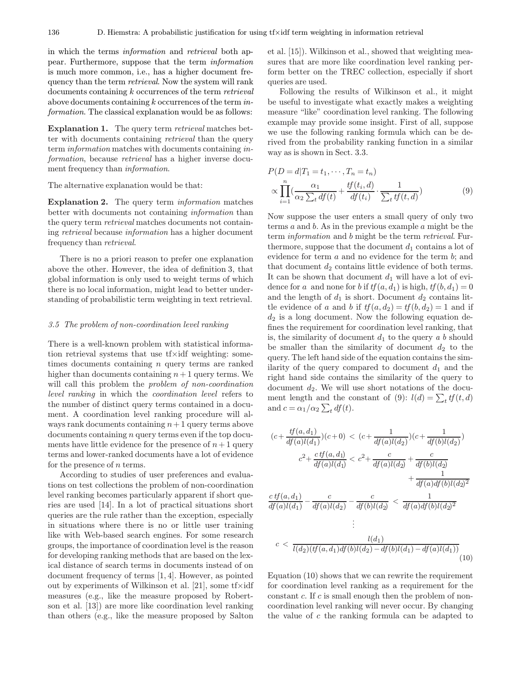in which the terms information and retrieval both appear. Furthermore, suppose that the term information is much more common, i.e., has a higher document frequency than the term *retrieval*. Now the system will rank documents containing k occurrences of the term retrieval above documents containing k occurrences of the term information. The classical explanation would be as follows:

Explanation 1. The query term *retrieval* matches better with documents containing retrieval than the query term information matches with documents containing information, because retrieval has a higher inverse document frequency than information.

The alternative explanation would be that:

Explanation 2. The query term *information* matches better with documents not containing information than the query term retrieval matches documents not containing retrieval because information has a higher document frequency than retrieval.

There is no a priori reason to prefer one explanation above the other. However, the idea of definition 3, that global information is only used to weight terms of which there is no local information, might lead to better understanding of probabilistic term weighting in text retrieval.

#### 3.5 The problem of non-coordination level ranking

There is a well-known problem with statistical information retrieval systems that use tf×idf weighting: sometimes documents containing n query terms are ranked higher than documents containing  $n+1$  query terms. We will call this problem the *problem of non-coordination* level ranking in which the coordination level refers to the number of distinct query terms contained in a document. A coordination level ranking procedure will always rank documents containing  $n+1$  query terms above documents containing n query terms even if the top documents have little evidence for the presence of  $n+1$  query terms and lower-ranked documents have a lot of evidence for the presence of  $n$  terms.

According to studies of user preferences and evaluations on test collections the problem of non-coordination level ranking becomes particularly apparent if short queries are used [14]. In a lot of practical situations short queries are the rule rather than the exception, especially in situations where there is no or little user training like with Web-based search engines. For some research groups, the importance of coordination level is the reason for developing ranking methods that are based on the lexical distance of search terms in documents instead of on document frequency of terms [1, 4]. However, as pointed out by experiments of Wilkinson et al. [21], some  $tf\times idf$ measures (e.g., like the measure proposed by Robertson et al. [13]) are more like coordination level ranking than others (e.g., like the measure proposed by Salton

et al. [15]). Wilkinson et al., showed that weighting measures that are more like coordination level ranking perform better on the TREC collection, especially if short queries are used.

Following the results of Wilkinson et al., it might be useful to investigate what exactly makes a weighting measure "like" coordination level ranking. The following example may provide some insight. First of all, suppose we use the following ranking formula which can be derived from the probability ranking function in a similar way as is shown in Sect. 3.3.

$$
P(D = d|T_1 = t_1, \dots, T_n = t_n)
$$
  
 
$$
\propto \prod_{i=1}^n \left( \frac{\alpha_1}{\alpha_2 \sum_t df(t)} + \frac{tf(t_i, d)}{df(t_i)} \cdot \frac{1}{\sum_t tf(t, d)} \right)
$$
 (9)

Now suppose the user enters a small query of only two terms a and b. As in the previous example a might be the term *information* and *b* might be the term *retrieval*. Furthermore, suppose that the document  $d_1$  contains a lot of evidence for term a and no evidence for the term b; and that document  $d_2$  contains little evidence of both terms. It can be shown that document  $d_1$  will have a lot of evidence for a and none for b if  $tf(a, d_1)$  is high,  $tf(b, d_1)=0$ and the length of  $d_1$  is short. Document  $d_2$  contains little evidence of a and b if  $tf(a, d_2) = tf(b, d_2) = 1$  and if  $d_2$  is a long document. Now the following equation defines the requirement for coordination level ranking, that is, the similarity of document  $d_1$  to the query a b should be smaller than the similarity of document  $d_2$  to the query. The left hand side of the equation contains the similarity of the query compared to document  $d_1$  and the right hand side contains the similarity of the query to document  $d_2$ . We will use short notations of the document length and the constant of (9):  $l(d) = \sum_t tf(t, d)$ and  $c = \alpha_1/\alpha_2 \sum_t df(t)$ .

$$
(c + \frac{tf(a, d_1)}{df(a)l(d_1)})(c + 0) < (c + \frac{1}{df(a)l(d_2)})(c + \frac{1}{df(b)l(d_2)})
$$
\n
$$
c^2 + \frac{ctf(a, d_1)}{df(a)l(d_1)} < c^2 + \frac{c}{df(a)l(d_2)} + \frac{c}{df(b)l(d_2)}
$$
\n
$$
+ \frac{1}{df(a)df(b)l(d_2)^2}
$$
\n
$$
\frac{ctf(a, d_1)}{df(a)l(d_1)} - \frac{c}{df(a)l(d_2)} - \frac{c}{df(b)l(d_2)} < \frac{1}{df(a)df(b)l(d_2)^2}
$$
\n
$$
\vdots
$$
\n
$$
c < \frac{l(d_1)}{l(d_2)(tf(a, d_1)df(b)l(d_2) - df(b)l(d_1) - df(a)l(d_1))}
$$
\n(10)

Equation (10) shows that we can rewrite the requirement for coordination level ranking as a requirement for the constant  $c$ . If  $c$  is small enough then the problem of noncoordination level ranking will never occur. By changing the value of c the ranking formula can be adapted to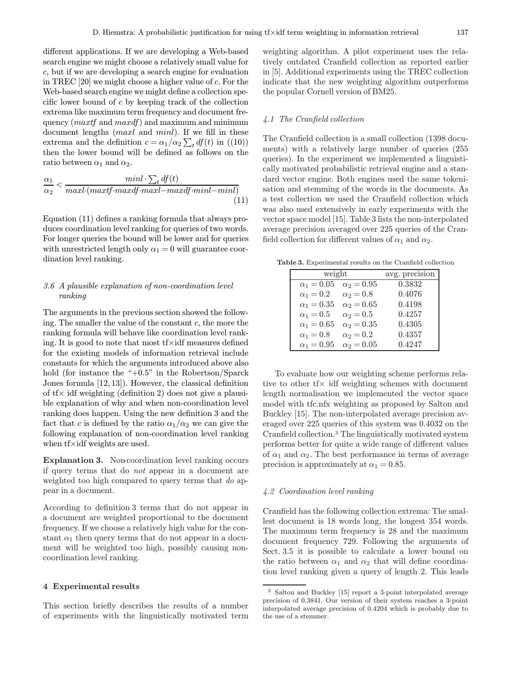different applications. If we are developing a Web-based search engine we might choose a relatively small value for c, but if we are developing a search engine for evaluation in TREC [20] we might choose a higher value of c. For the Web-based search engine we might define a collection specific lower bound of  $c$  by keeping track of the collection extrema like maximum term frequency and document frequency  $(maxtf$  and  $maxdf$ ) and maximum and minimum document lengths (*maxl* and *minl*). If we fill in these extrema and the definition  $c = \alpha_1/\alpha_2 \sum_t df(t)$  in  $((10))$ then the lower bound will be defined as follows on the ratio between  $\alpha_1$  and  $\alpha_2$ .

$$
\frac{\alpha_1}{\alpha_2} < \frac{minl \cdot \sum_t df(t)}{maxl \cdot (maxtf \cdot maxdf \cdot maxl - maxdf \cdot minl - minl)}\tag{11}
$$

Equation (11) defines a ranking formula that always produces coordination level ranking for queries of two words. For longer queries the bound will be lower and for queries with unrestricted length only  $\alpha_1 = 0$  will guarantee coordination level ranking.

# 3.6 A plausible explanation of non-coordination level ranking

The arguments in the previous section showed the following. The smaller the value of the constant  $c$ , the more the ranking formula will behave like coordination level ranking. It is good to note that most  $f \times idf$  measures defined for the existing models of information retrieval include constants for which the arguments introduced above also hold (for instance the "+0.5" in the Robertson/Sparck Jones formula [12, 13]). However, the classical definition of  $tf \times$  idf weighting (definition 2) does not give a plausible explanation of why and when non-coordination level ranking does happen. Using the new definition 3 and the fact that c is defined by the ratio  $\alpha_1/\alpha_2$  we can give the following explanation of non-coordination level ranking when tf×idf weights are used.

Explanation 3. Non-coordination level ranking occurs if query terms that do not appear in a document are weighted too high compared to query terms that do appear in a document.

According to definition 3 terms that do not appear in a document are weighted proportional to the document frequency. If we choose a relatively high value for the constant  $\alpha_1$  then query terms that do not appear in a document will be weighted too high, possibly causing noncoordination level ranking.

# 4 Experimental results

This section briefly describes the results of a number of experiments with the linguistically motivated term

weighting algorithm. A pilot experiment uses the relatively outdated Cranfield collection as reported earlier in [5]. Additional experiments using the TREC collection indicate that the new weighting algorithm outperforms the popular Cornell version of BM25.

# 4.1 The Cranfield collection

The Cranfield collection is a small collection (1398 documents) with a relatively large number of queries (255 queries). In the experiment we implemented a linguistically motivated probabilistic retrieval engine and a standard vector engine. Both engines used the same tokenisation and stemming of the words in the documents. As a test collection we used the Cranfield collection which was also used extensively in early experiments with the vector space model [15]. Table 3 lists the non-interpolated average precision averaged over 225 queries of the Cranfield collection for different values of  $\alpha_1$  and  $\alpha_2$ .

Table 3. Experimental results on the Cranfield collection

| weight            | avg. precision    |        |
|-------------------|-------------------|--------|
| $\alpha_1 = 0.05$ | $\alpha_2 = 0.95$ | 0.3832 |
| $\alpha_1=0.2$    | $\alpha_2 = 0.8$  | 0.4076 |
| $\alpha_1 = 0.35$ | $\alpha_2 = 0.65$ | 0.4198 |
| $\alpha_1=0.5$    | $\alpha_2=0.5$    | 0.4257 |
| $\alpha_1 = 0.65$ | $\alpha_2 = 0.35$ | 0.4305 |
| $\alpha_1=0.8$    | $\alpha_2 = 0.2$  | 0.4357 |
| $\alpha_1 = 0.95$ | $\alpha_2 = 0.05$ | 0.4247 |
|                   |                   |        |

To evaluate how our weighting scheme performs relative to other  $tf \times \text{ idf}$  weighting schemes with document length normalisation we implemented the vector space model with tfc.nfx weighting as proposed by Salton and Buckley [15]. The non-interpolated average precision averaged over 225 queries of this system was 0.4032 on the Cranfield collection.<sup>3</sup> The linguistically motivated system performs better for quite a wide range of different values of  $\alpha_1$  and  $\alpha_2$ . The best performance in terms of average precision is approximately at  $\alpha_1 = 0.85$ .

#### 4.2 Coordination level ranking

Cranfield has the following collection extrema: The smallest document is 18 words long, the longest 354 words. The maximum term frequency is 28 and the maximum document frequency 729. Following the arguments of Sect. 3.5 it is possible to calculate a lower bound on the ratio between  $\alpha_1$  and  $\alpha_2$  that will define coordination level ranking given a query of length 2. This leads

<sup>3</sup> Salton and Buckley [15] report a 3-point interpolated average precision of 0.3841. Our version of their system reaches a 3-point interpolated average precision of 0.4204 which is probably due to the use of a stemmer.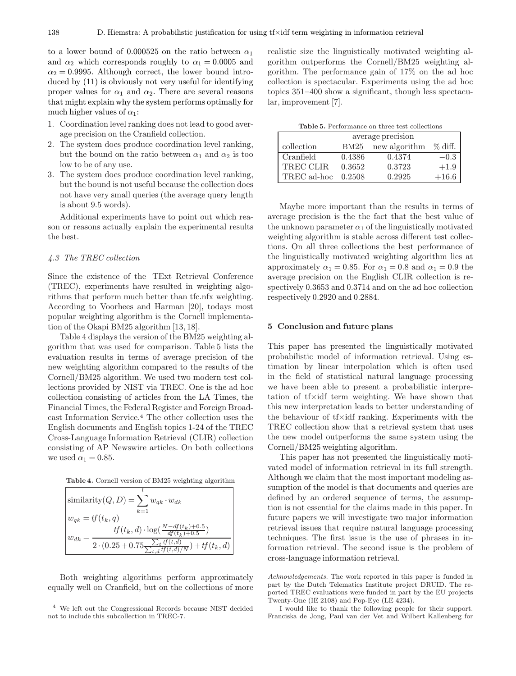to a lower bound of 0.000525 on the ratio between  $\alpha_1$ and  $\alpha_2$  which corresponds roughly to  $\alpha_1 = 0.0005$  and  $\alpha_2 = 0.9995$ . Although correct, the lower bound introduced by (11) is obviously not very useful for identifying proper values for  $\alpha_1$  and  $\alpha_2$ . There are several reasons that might explain why the system performs optimally for much higher values of  $\alpha_1$ :

- 1. Coordination level ranking does not lead to good average precision on the Cranfield collection.
- 2. The system does produce coordination level ranking, but the bound on the ratio between  $\alpha_1$  and  $\alpha_2$  is too low to be of any use.
- 3. The system does produce coordination level ranking, but the bound is not useful because the collection does not have very small queries (the average query length is about 9.5 words).

Additional experiments have to point out which reason or reasons actually explain the experimental results the best.

# 4.3 The TREC collection

Since the existence of the TExt Retrieval Conference (TREC), experiments have resulted in weighting algorithms that perform much better than tfc.nfx weighting. According to Voorhees and Harman [20], todays most popular weighting algorithm is the Cornell implementation of the Okapi BM25 algorithm [13, 18].

Table 4 displays the version of the BM25 weighting algorithm that was used for comparison. Table 5 lists the evaluation results in terms of average precision of the new weighting algorithm compared to the results of the Cornell/BM25 algorithm. We used two modern test collections provided by NIST via TREC. One is the ad hoc collection consisting of articles from the LA Times, the Financial Times, the Federal Register and Foreign Broadcast Information Service.<sup>4</sup> The other collection uses the English documents and English topics 1-24 of the TREC Cross-Language Information Retrieval (CLIR) collection consisting of AP Newswire articles. On both collections we used  $\alpha_1 = 0.85$ .



| $\sinh(\frac{Q}{D}) = \sum w_{qk} \cdot w_{dk}$                                                                                                                      |
|----------------------------------------------------------------------------------------------------------------------------------------------------------------------|
| $k=1$<br>$w_{qk} = tf(t_k, q)$                                                                                                                                       |
| $tf(t_k, d) \cdot \log(\frac{N - df(t_k) + 0.5}{df(t_k) + 0.5})$<br>$w_{dk} =$<br>$\frac{2\cdot (0.25+0.75\frac{\sum_{t}tf(t,d)}{\sum_{t,d}tf(t,d)/N}) + tf(t_k,d)}$ |

Both weighting algorithms perform approximately equally well on Cranfield, but on the collections of more realistic size the linguistically motivated weighting algorithm outperforms the Cornell/BM25 weighting algorithm. The performance gain of 17% on the ad hoc collection is spectacular. Experiments using the ad hoc topics 351–400 show a significant, though less spectacular, improvement [7].

| <b>Table 5.</b> Performance on three test collections |  |
|-------------------------------------------------------|--|
|-------------------------------------------------------|--|

| average precision |        |               |            |  |
|-------------------|--------|---------------|------------|--|
| collection        | BM25   | new algorithm | $\%$ diff. |  |
| Cranfield         | 0.4386 | 0.4374        | $-0.3$     |  |
| <b>TREC CLIR</b>  | 0.3652 | 0.3723        | $+1.9$     |  |
| TREC ad-hoc       | 0.2508 | 0.2925        | $+16.6$    |  |

Maybe more important than the results in terms of average precision is the the fact that the best value of the unknown parameter  $\alpha_1$  of the linguistically motivated weighting algorithm is stable across different test collections. On all three collections the best performance of the linguistically motivated weighting algorithm lies at approximately  $\alpha_1 = 0.85$ . For  $\alpha_1 = 0.8$  and  $\alpha_1 = 0.9$  the average precision on the English CLIR collection is respectively 0.3653 and 0.3714 and on the ad hoc collection respectively 0.2920 and 0.2884.

#### 5 Conclusion and future plans

This paper has presented the linguistically motivated probabilistic model of information retrieval. Using estimation by linear interpolation which is often used in the field of statistical natural language processing we have been able to present a probabilistic interpretation of tf×idf term weighting. We have shown that this new interpretation leads to better understanding of the behaviour of tf×idf ranking. Experiments with the TREC collection show that a retrieval system that uses the new model outperforms the same system using the Cornell/BM25 weighting algorithm.

This paper has not presented the linguistically motivated model of information retrieval in its full strength. Although we claim that the most important modeling assumption of the model is that documents and queries are defined by an ordered sequence of terms, the assumption is not essential for the claims made in this paper. In future papers we will investigate two major information retrieval issues that require natural language processing techniques. The first issue is the use of phrases in information retrieval. The second issue is the problem of cross-language information retrieval.

Acknowledgements. The work reported in this paper is funded in part by the Dutch Telematics Institute project DRUID. The reported TREC evaluations were funded in part by the EU projects Twenty-One (IE 2108) and Pop-Eye (LE 4234).

I would like to thank the following people for their support. Franciska de Jong, Paul van der Vet and Wilbert Kallenberg for

<sup>4</sup> We left out the Congressional Records because NIST decided not to include this subcollection in TREC-7.